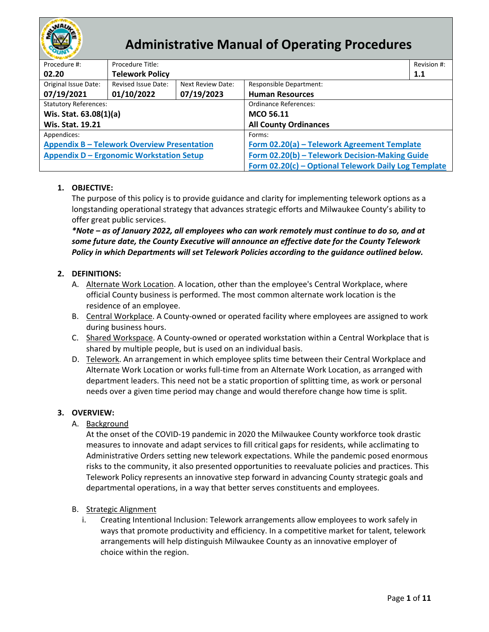

# **Administrative Manual of Operating Procedures**

| Procedure #:                                       | Procedure Title:       |                   |                                                      | Revision #: |  |  |
|----------------------------------------------------|------------------------|-------------------|------------------------------------------------------|-------------|--|--|
| 02.20                                              | <b>Telework Policy</b> |                   |                                                      | 1.1         |  |  |
| Original Issue Date:                               | Revised Issue Date:    | Next Review Date: | Responsible Department:                              |             |  |  |
| 07/19/2021                                         | 01/10/2022             | 07/19/2023        | <b>Human Resources</b>                               |             |  |  |
| <b>Statutory References:</b>                       |                        |                   | Ordinance References:                                |             |  |  |
| Wis. Stat. 63.08(1)(a)                             |                        |                   | <b>MCO 56.11</b>                                     |             |  |  |
| <b>Wis. Stat. 19.21</b>                            |                        |                   | <b>All County Ordinances</b>                         |             |  |  |
| Appendices:                                        |                        |                   | Forms:                                               |             |  |  |
| <b>Appendix B - Telework Overview Presentation</b> |                        |                   | Form 02.20(a) - Telework Agreement Template          |             |  |  |
| <b>Appendix D - Ergonomic Workstation Setup</b>    |                        |                   | Form 02.20(b) - Telework Decision-Making Guide       |             |  |  |
|                                                    |                        |                   | Form 02.20(c) - Optional Telework Daily Log Template |             |  |  |

# **1. OBJECTIVE:**

The purpose of this policy is to provide guidance and clarity for implementing telework options as a longstanding operational strategy that advances strategic efforts and Milwaukee County's ability to offer great public services.

*\*Note – as of January 2022, all employees who can work remotely must continue to do so, and at some future date, the County Executive will announce an effective date for the County Telework Policy in which Departments will set Telework Policies according to the guidance outlined below.*

# **2. DEFINITIONS:**

- A. Alternate Work Location. A location, other than the employee's Central Workplace, where official County business is performed. The most common alternate work location is the residence of an employee.
- B. Central Workplace. A County-owned or operated facility where employees are assigned to work during business hours.
- C. Shared Workspace. A County-owned or operated workstation within a Central Workplace that is shared by multiple people, but is used on an individual basis.
- D. Telework. An arrangement in which employee splits time between their Central Workplace and Alternate Work Location or works full-time from an Alternate Work Location, as arranged with department leaders. This need not be a static proportion of splitting time, as work or personal needs over a given time period may change and would therefore change how time is split.

# **3. OVERVIEW:**

A. Background

At the onset of the COVID-19 pandemic in 2020 the Milwaukee County workforce took drastic measures to innovate and adapt services to fill critical gaps for residents, while acclimating to Administrative Orders setting new telework expectations. While the pandemic posed enormous risks to the community, it also presented opportunities to reevaluate policies and practices. This Telework Policy represents an innovative step forward in advancing County strategic goals and departmental operations, in a way that better serves constituents and employees.

# B. Strategic Alignment

i. Creating Intentional Inclusion: Telework arrangements allow employees to work safely in ways that promote productivity and efficiency. In a competitive market for talent, telework arrangements will help distinguish Milwaukee County as an innovative employer of choice within the region.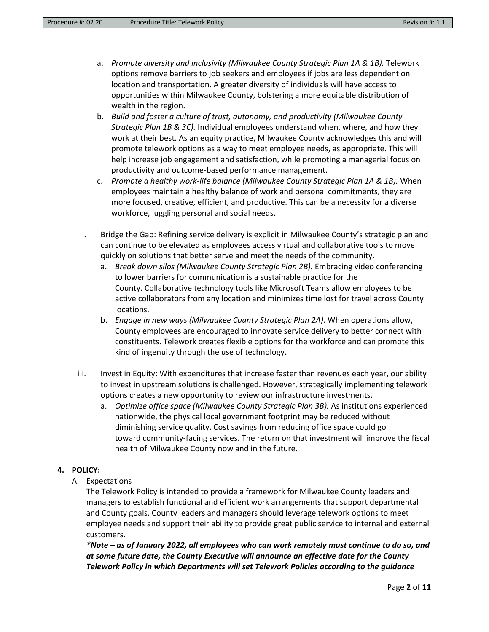- a. *Promote diversity and inclusivity (Milwaukee County Strategic Plan 1A & 1B).* Telework options remove barriers to job seekers and employees if jobs are less dependent on location and transportation. A greater diversity of individuals will have access to opportunities within Milwaukee County, bolstering a more equitable distribution of wealth in the region.
- b. *Build and foster a culture of trust, autonomy, and productivity (Milwaukee County Strategic Plan 1B & 3C).* Individual employees understand when, where, and how they work at their best. As an equity practice, Milwaukee County acknowledges this and will promote telework options as a way to meet employee needs, as appropriate. This will help increase job engagement and satisfaction, while promoting a managerial focus on productivity and outcome-based performance management.
- c. *Promote a healthy work-life balance (Milwaukee County Strategic Plan 1A & 1B).* When employees maintain a healthy balance of work and personal commitments, they are more focused, creative, efficient, and productive. This can be a necessity for a diverse workforce, juggling personal and social needs.
- ii. Bridge the Gap: Refining service delivery is explicit in Milwaukee County's strategic plan and can continue to be elevated as employees access virtual and collaborative tools to move quickly on solutions that better serve and meet the needs of the community.
	- a. *Break down silos (Milwaukee County Strategic Plan 2B).* Embracing video conferencing to lower barriers for communication is a sustainable practice for the County. Collaborative technology tools like Microsoft Teams allow employees to be active collaborators from any location and minimizes time lost for travel across County locations.
	- b. *Engage in new ways (Milwaukee County Strategic Plan 2A).* When operations allow, County employees are encouraged to innovate service delivery to better connect with constituents. Telework creates flexible options for the workforce and can promote this kind of ingenuity through the use of technology.
- iii. Invest in Equity: With expenditures that increase faster than revenues each year, our ability to invest in upstream solutions is challenged. However, strategically implementing telework options creates a new opportunity to review our infrastructure investments.
	- a. *Optimize office space (Milwaukee County Strategic Plan 3B).* As institutions experienced nationwide, the physical local government footprint may be reduced without diminishing service quality. Cost savings from reducing office space could go toward community-facing services. The return on that investment will improve the fiscal health of Milwaukee County now and in the future.

# **4. POLICY:**

A. Expectations

The Telework Policy is intended to provide a framework for Milwaukee County leaders and managers to establish functional and efficient work arrangements that support departmental and County goals. County leaders and managers should leverage telework options to meet employee needs and support their ability to provide great public service to internal and external customers.

*\*Note – as of January 2022, all employees who can work remotely must continue to do so, and at some future date, the County Executive will announce an effective date for the County Telework Policy in which Departments will set Telework Policies according to the guidance*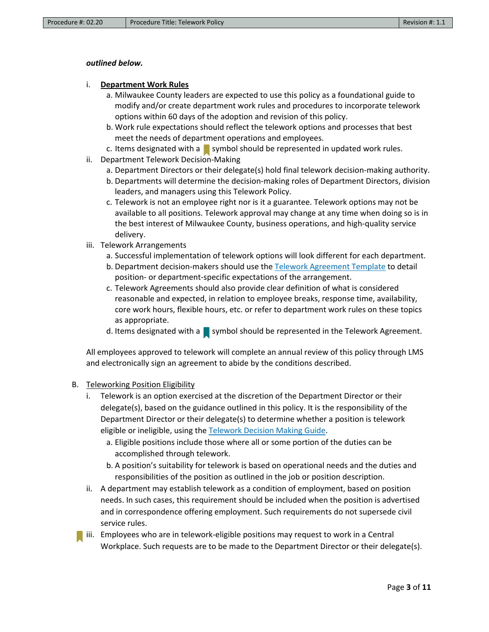#### *outlined below.*

#### i. **Department Work Rules**

- a. Milwaukee County leaders are expected to use this policy as a foundational guide to modify and/or create department work rules and procedures to incorporate telework options within 60 days of the adoption and revision of this policy.
- b. Work rule expectations should reflect the telework options and processes that best meet the needs of department operations and employees.
- c. Items designated with a symbol should be represented in updated work rules.
- ii. Department Telework Decision-Making
	- a. Department Directors or their delegate(s) hold final telework decision-making authority.
	- b. Departments will determine the decision-making roles of Department Directors, division leaders, and managers using this Telework Policy.
	- c. Telework is not an employee right nor is it a guarantee. Telework options may not be available to all positions. Telework approval may change at any time when doing so is in the best interest of Milwaukee County, business operations, and high-quality service delivery.
- iii. Telework Arrangements
	- a. Successful implementation of telework options will look different for each department.
	- b. Department decision-makers should use the [Telework Agreement Template](https://county.milwaukee.gov/files/county/administrative-services/AMOP/Chapter-2-Human-Resources/TeleworkAgreementTemplate.docx) to detail position- or department-specific expectations of the arrangement.
	- c. Telework Agreements should also provide clear definition of what is considered reasonable and expected, in relation to employee breaks, response time, availability, core work hours, flexible hours, etc. or refer to department work rules on these topics as appropriate.
	- d. Items designated with a symbol should be represented in the Telework Agreement.

All employees approved to telework will complete an annual review of this policy through LMS and electronically sign an agreement to abide by the conditions described.

#### B. Teleworking Position Eligibility

- i. Telework is an option exercised at the discretion of the Department Director or their delegate(s), based on the guidance outlined in this policy. It is the responsibility of the Department Director or their delegate(s) to determine whether a position is telework eligible or ineligible, using th[e Telework Decision Making Guide.](https://county.milwaukee.gov/files/county/administrative-services/AMOP/Chapter-2-Human-Resources/TeleworkDecision-MakingGuideTemplate.docx)
	- a. Eligible positions include those where all or some portion of the duties can be accomplished through telework.
	- b. A position's suitability for telework is based on operational needs and the duties and responsibilities of the position as outlined in the job or position description.
- ii. A department may establish telework as a condition of employment, based on position needs. In such cases, this requirement should be included when the position is advertised and in correspondence offering employment. Such requirements do not supersede civil service rules.
- iii. Employees who are in telework-eligible positions may request to work in a Central Workplace. Such requests are to be made to the Department Director or their delegate(s).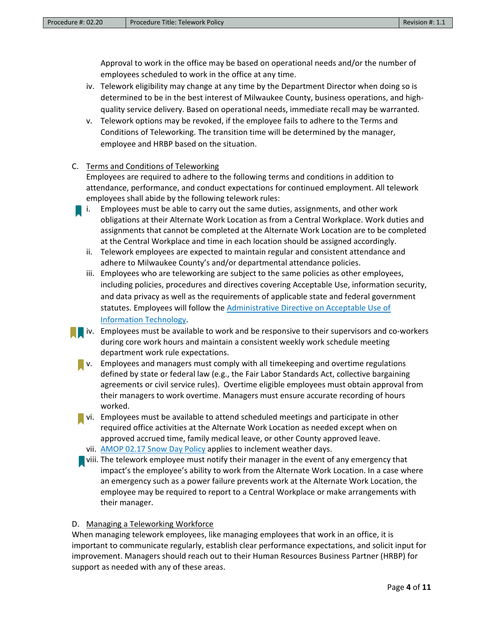Approval to work in the office may be based on operational needs and/or the number of employees scheduled to work in the office at any time.

- iv. Telework eligibility may change at any time by the Department Director when doing so is determined to be in the best interest of Milwaukee County, business operations, and highquality service delivery. Based on operational needs, immediate recall may be warranted.
- v. Telework options may be revoked, if the employee fails to adhere to the Terms and Conditions of Teleworking. The transition time will be determined by the manager, employee and HRBP based on the situation.

#### C. Terms and Conditions of Teleworking

Employees are required to adhere to the following terms and conditions in addition to attendance, performance, and conduct expectations for continued employment. All telework employees shall abide by the following telework rules:

- i. Employees must be able to carry out the same duties, assignments, and other work obligations at their Alternate Work Location as from a Central Workplace. Work duties and assignments that cannot be completed at the Alternate Work Location are to be completed at the Central Workplace and time in each location should be assigned accordingly.
	- ii. Telework employees are expected to maintain regular and consistent attendance and adhere to Milwaukee County's and/or departmental attendance policies.
	- iii. Employees who are teleworking are subject to the same policies as other employees, including policies, procedures and directives covering Acceptable Use, information security, and data privacy as well as the requirements of applicable state and federal government statutes. Employees will follow the [Administrative Directive on Acceptable Use of](https://countyconnect.milwaukeecountywi.gov/New---County-Intranet-Files/infoBank/Tech-Training/AdministrativeDirective-AcceptableUseofInformationTechnology04-15-2020.pdf)  [Information Technology.](https://countyconnect.milwaukeecountywi.gov/New---County-Intranet-Files/infoBank/Tech-Training/AdministrativeDirective-AcceptableUseofInformationTechnology04-15-2020.pdf)
- **i** iv. Employees must be available to work and be responsive to their supervisors and co-workers during core work hours and maintain a consistent weekly work schedule meeting department work rule expectations.
	- $\blacksquare$  v. Employees and managers must comply with all timekeeping and overtime regulations defined by state or federal law (e.g., the Fair Labor Standards Act, collective bargaining agreements or civil service rules). Overtime eligible employees must obtain approval from their managers to work overtime. Managers must ensure accurate recording of hours worked.
	- **Vi.** Employees must be available to attend scheduled meetings and participate in other required office activities at the Alternate Work Location as needed except when on approved accrued time, family medical leave, or other County approved leave. vii. [AMOP 02.17 Snow Day Policy](https://county.milwaukee.gov/files/county/administrative-services/AMOP/Chapter-2-Human-Resources/02.17SnowDayPolicy_Rev.3.pdf) applies to inclement weather days.
	- **D** viii. The telework employee must notify their manager in the event of any emergency that impact's the employee's ability to work from the Alternate Work Location. In a case where an emergency such as a power failure prevents work at the Alternate Work Location, the employee may be required to report to a Central Workplace or make arrangements with their manager.

#### D. Managing a Teleworking Workforce

When managing telework employees, like managing employees that work in an office, it is important to communicate regularly, establish clear performance expectations, and solicit input for improvement. Managers should reach out to their Human Resources Business Partner (HRBP) for support as needed with any of these areas.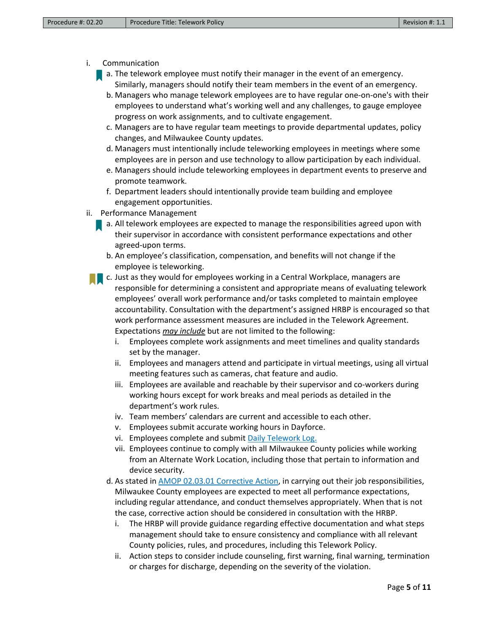- i. Communication
	- a. The telework employee must notify their manager in the event of an emergency. Similarly, managers should notify their team members in the event of an emergency.
		- b. Managers who manage telework employees are to have regular one-on-one's with their employees to understand what's working well and any challenges, to gauge employee progress on work assignments, and to cultivate engagement.
		- c. Managers are to have regular team meetings to provide departmental updates, policy changes, and Milwaukee County updates.
		- d. Managers must intentionally include teleworking employees in meetings where some employees are in person and use technology to allow participation by each individual.
		- e. Managers should include teleworking employees in department events to preserve and promote teamwork.
		- f. Department leaders should intentionally provide team building and employee engagement opportunities.
- ii. Performance Management
	- **a.** All telework employees are expected to manage the responsibilities agreed upon with their supervisor in accordance with consistent performance expectations and other agreed-upon terms.
		- b. An employee's classification, compensation, and benefits will not change if the employee is teleworking.
	- c. Just as they would for employees working in a Central Workplace, managers are responsible for determining a consistent and appropriate means of evaluating telework employees' overall work performance and/or tasks completed to maintain employee accountability. Consultation with the department's assigned HRBP is encouraged so that work performance assessment measures are included in the Telework Agreement. Expectations *may include* but are not limited to the following:
		- i. Employees complete work assignments and meet timelines and quality standards set by the manager.
		- ii. Employees and managers attend and participate in virtual meetings, using all virtual meeting features such as cameras, chat feature and audio.
		- iii. Employees are available and reachable by their supervisor and co-workers during working hours except for work breaks and meal periods as detailed in the department's work rules.
		- iv. Team members' calendars are current and accessible to each other.
		- v. Employees submit accurate working hours in Dayforce.
		- vi. Employees complete and submit [Daily Telework Log.](https://county.milwaukee.gov/files/county/administrative-services/AMOP/Chapter-2-Human-Resources/OptionalTeleworkDailyLogTemplate.docx)
		- vii. Employees continue to comply with all Milwaukee County policies while working from an Alternate Work Location, including those that pertain to information and device security.
		- d. As stated i[n AMOP 02.03.01 Corrective Action,](https://county.milwaukee.gov/files/county/administrative-services/AMOP/Chapter-2-Human-Resources/AppendixA-HRCorrectiveActionAMOP_final.pdf) in carrying out their job responsibilities, Milwaukee County employees are expected to meet all performance expectations, including regular attendance, and conduct themselves appropriately. When that is not the case, corrective action should be considered in consultation with the HRBP.
			- i. The HRBP will provide guidance regarding effective documentation and what steps management should take to ensure consistency and compliance with all relevant County policies, rules, and procedures, including this Telework Policy.
			- ii. Action steps to consider include counseling, first warning, final warning, termination or charges for discharge, depending on the severity of the violation.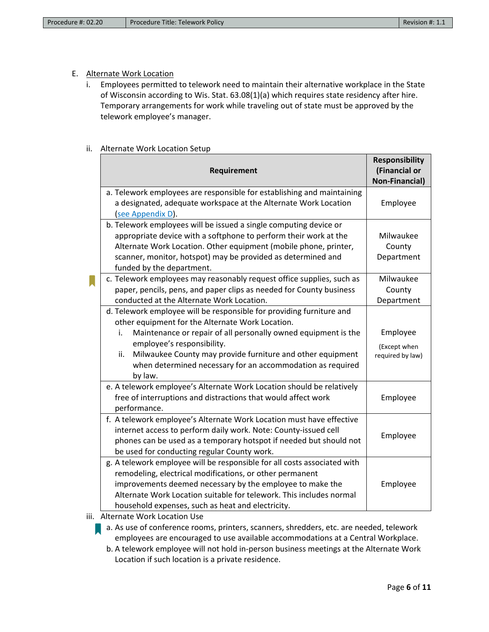## E. Alternate Work Location

i. Employees permitted to telework need to maintain their alternative workplace in the State of Wisconsin according to Wis. Stat. 63.08(1)(a) which requires state residency after hire. Temporary arrangements for work while traveling out of state must be approved by the telework employee's manager.

#### ii. Alternate Work Location Setup

|   | Requirement                                                                                                                                                                                                                                                                                                                                                                  | <b>Responsibility</b><br>(Financial or<br><b>Non-Financial)</b> |  |
|---|------------------------------------------------------------------------------------------------------------------------------------------------------------------------------------------------------------------------------------------------------------------------------------------------------------------------------------------------------------------------------|-----------------------------------------------------------------|--|
|   | a. Telework employees are responsible for establishing and maintaining<br>a designated, adequate workspace at the Alternate Work Location<br>see Appendix D).                                                                                                                                                                                                                | Employee                                                        |  |
|   | b. Telework employees will be issued a single computing device or<br>appropriate device with a softphone to perform their work at the<br>Alternate Work Location. Other equipment (mobile phone, printer,<br>scanner, monitor, hotspot) may be provided as determined and<br>funded by the department.                                                                       | Milwaukee<br>County<br>Department                               |  |
| k | c. Telework employees may reasonably request office supplies, such as<br>paper, pencils, pens, and paper clips as needed for County business<br>conducted at the Alternate Work Location.                                                                                                                                                                                    | Milwaukee<br>County<br>Department                               |  |
|   | d. Telework employee will be responsible for providing furniture and<br>other equipment for the Alternate Work Location.<br>Maintenance or repair of all personally owned equipment is the<br>i.<br>employee's responsibility.<br>Milwaukee County may provide furniture and other equipment<br>ii.<br>when determined necessary for an accommodation as required<br>by law. | Employee<br>(Except when<br>required by law)                    |  |
|   | e. A telework employee's Alternate Work Location should be relatively<br>free of interruptions and distractions that would affect work<br>performance.                                                                                                                                                                                                                       | Employee                                                        |  |
|   | f. A telework employee's Alternate Work Location must have effective<br>internet access to perform daily work. Note: County-issued cell<br>phones can be used as a temporary hotspot if needed but should not<br>be used for conducting regular County work.                                                                                                                 | Employee                                                        |  |
|   | g. A telework employee will be responsible for all costs associated with<br>remodeling, electrical modifications, or other permanent<br>improvements deemed necessary by the employee to make the<br>Alternate Work Location suitable for telework. This includes normal<br>household expenses, such as heat and electricity.                                                | Employee                                                        |  |

iii. Alternate Work Location Use

**a.** As use of conference rooms, printers, scanners, shredders, etc. are needed, telework employees are encouraged to use available accommodations at a Central Workplace.

b. A telework employee will not hold in-person business meetings at the Alternate Work Location if such location is a private residence.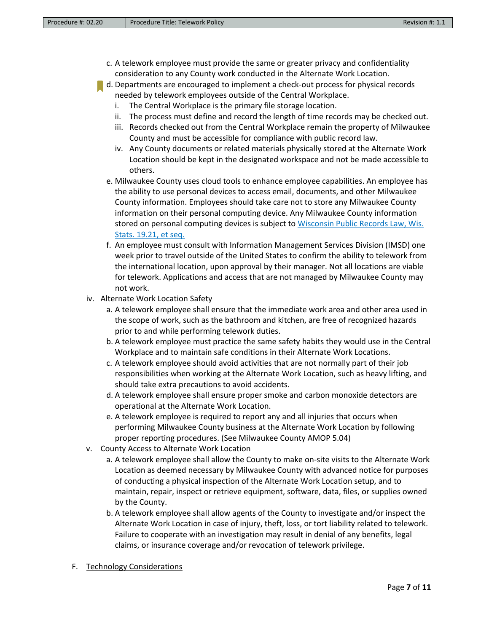- c. A telework employee must provide the same or greater privacy and confidentiality consideration to any County work conducted in the Alternate Work Location.
- d. Departments are encouraged to implement a check-out process for physical records needed by telework employees outside of the Central Workplace.
	- i. The Central Workplace is the primary file storage location.
	- ii. The process must define and record the length of time records may be checked out.
	- iii. Records checked out from the Central Workplace remain the property of Milwaukee County and must be accessible for compliance with public record law.
	- iv. Any County documents or related materials physically stored at the Alternate Work Location should be kept in the designated workspace and not be made accessible to others.
	- e. Milwaukee County uses cloud tools to enhance employee capabilities. An employee has the ability to use personal devices to access email, documents, and other Milwaukee County information. Employees should take care not to store any Milwaukee County information on their personal computing device. Any Milwaukee County information stored on personal computing devices is subject to Wisconsin Public Records Law, Wis. [Stats. 19.21, et seq.](https://www.doj.state.wi.us/sites/default/files/office-open-government/Resources/PRL-GUIDE.pdf)
	- f. An employee must consult with Information Management Services Division (IMSD) one week prior to travel outside of the United States to confirm the ability to telework from the international location, upon approval by their manager. Not all locations are viable for telework. Applications and access that are not managed by Milwaukee County may not work.
- iv. Alternate Work Location Safety
	- a. A telework employee shall ensure that the immediate work area and other area used in the scope of work, such as the bathroom and kitchen, are free of recognized hazards prior to and while performing telework duties.
	- b. A telework employee must practice the same safety habits they would use in the Central Workplace and to maintain safe conditions in their Alternate Work Locations.
	- c. A telework employee should avoid activities that are not normally part of their job responsibilities when working at the Alternate Work Location, such as heavy lifting, and should take extra precautions to avoid accidents.
	- d. A telework employee shall ensure proper smoke and carbon monoxide detectors are operational at the Alternate Work Location.
	- e. A telework employee is required to report any and all injuries that occurs when performing Milwaukee County business at the Alternate Work Location by following proper reporting procedures. (See Milwaukee County AMOP 5.04)
- v. County Access to Alternate Work Location
	- a. A telework employee shall allow the County to make on-site visits to the Alternate Work Location as deemed necessary by Milwaukee County with advanced notice for purposes of conducting a physical inspection of the Alternate Work Location setup, and to maintain, repair, inspect or retrieve equipment, software, data, files, or supplies owned by the County.
	- b. A telework employee shall allow agents of the County to investigate and/or inspect the Alternate Work Location in case of injury, theft, loss, or tort liability related to telework. Failure to cooperate with an investigation may result in denial of any benefits, legal claims, or insurance coverage and/or revocation of telework privilege.
- F. Technology Considerations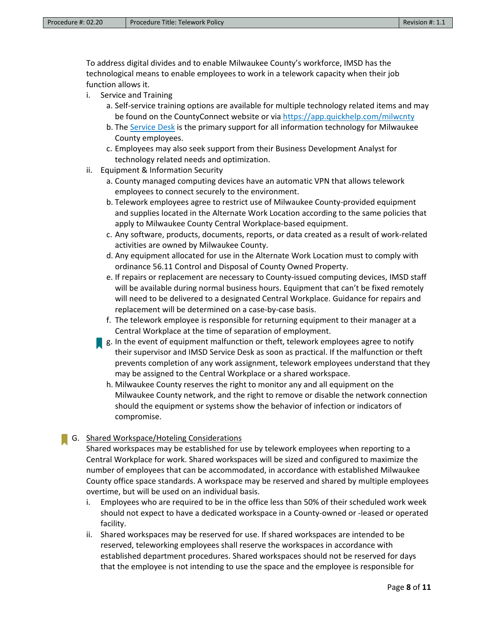To address digital divides and to enable Milwaukee County's workforce, IMSD has the technological means to enable employees to work in a telework capacity when their job function allows it.

- i. Service and Training
	- a. Self-service training options are available for multiple technology related items and may be found on the CountyConnect website or via <https://app.quickhelp.com/milwcnty>
	- b. The [Service Desk](mailto:servicedesk@milwaukeecountywi.gov) is the primary support for all information technology for Milwaukee County employees.
	- c. Employees may also seek support from their Business Development Analyst for technology related needs and optimization.
- ii. Equipment & Information Security
	- a. County managed computing devices have an automatic VPN that allows telework employees to connect securely to the environment.
	- b. Telework employees agree to restrict use of Milwaukee County-provided equipment and supplies located in the Alternate Work Location according to the same policies that apply to Milwaukee County Central Workplace-based equipment.
	- c. Any software, products, documents, reports, or data created as a result of work-related activities are owned by Milwaukee County.
	- d. Any equipment allocated for use in the Alternate Work Location must to comply with ordinance 56.11 Control and Disposal of County Owned Property.
	- e. If repairs or replacement are necessary to County-issued computing devices, IMSD staff will be available during normal business hours. Equipment that can't be fixed remotely will need to be delivered to a designated Central Workplace. Guidance for repairs and replacement will be determined on a case-by-case basis.
	- f. The telework employee is responsible for returning equipment to their manager at a Central Workplace at the time of separation of employment.
	- **g.** In the event of equipment malfunction or theft, telework employees agree to notify their supervisor and IMSD Service Desk as soon as practical. If the malfunction or theft prevents completion of any work assignment, telework employees understand that they may be assigned to the Central Workplace or a shared workspace.
		- h. Milwaukee County reserves the right to monitor any and all equipment on the Milwaukee County network, and the right to remove or disable the network connection should the equipment or systems show the behavior of infection or indicators of compromise.

# G. Shared Workspace/Hoteling Considerations

Shared workspaces may be established for use by telework employees when reporting to a Central Workplace for work. Shared workspaces will be sized and configured to maximize the number of employees that can be accommodated, in accordance with established Milwaukee County office space standards. A workspace may be reserved and shared by multiple employees overtime, but will be used on an individual basis.

- i. Employees who are required to be in the office less than 50% of their scheduled work week should not expect to have a dedicated workspace in a County-owned or -leased or operated facility.
- ii. Shared workspaces may be reserved for use. If shared workspaces are intended to be reserved, teleworking employees shall reserve the workspaces in accordance with established department procedures. Shared workspaces should not be reserved for days that the employee is not intending to use the space and the employee is responsible for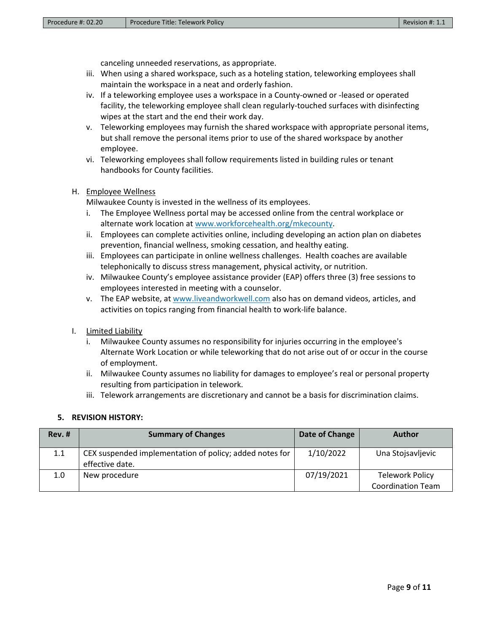canceling unneeded reservations, as appropriate.

- iii. When using a shared workspace, such as a hoteling station, teleworking employees shall maintain the workspace in a neat and orderly fashion.
- iv. If a teleworking employee uses a workspace in a County-owned or -leased or operated facility, the teleworking employee shall clean regularly-touched surfaces with disinfecting wipes at the start and the end their work day.
- v. Teleworking employees may furnish the shared workspace with appropriate personal items, but shall remove the personal items prior to use of the shared workspace by another employee.
- vi. Teleworking employees shall follow requirements listed in building rules or tenant handbooks for County facilities.

### H. Employee Wellness

Milwaukee County is invested in the wellness of its employees.

- i. The Employee Wellness portal may be accessed online from the central workplace or alternate work location at [www.workforcehealth.org/mkecounty.](http://www.workforcehealth.org/mkecounty)
- ii. Employees can complete activities online, including developing an action plan on diabetes prevention, financial wellness, smoking cessation, and healthy eating.
- iii. Employees can participate in online wellness challenges. Health coaches are available telephonically to discuss stress management, physical activity, or nutrition.
- iv. Milwaukee County's employee assistance provider (EAP) offers three (3) free sessions to employees interested in meeting with a counselor.
- v. The EAP website, at [www.liveandworkwell.com](http://www.liveandworkwell.com/) also has on demand videos, articles, and activities on topics ranging from financial health to work-life balance.

#### I. Limited Liability

- i. Milwaukee County assumes no responsibility for injuries occurring in the employee's Alternate Work Location or while teleworking that do not arise out of or occur in the course of employment.
- ii. Milwaukee County assumes no liability for damages to employee's real or personal property resulting from participation in telework.
- iii. Telework arrangements are discretionary and cannot be a basis for discrimination claims.

#### **5. REVISION HISTORY:**

| $Rev.$ #         | <b>Summary of Changes</b>                                                  | Date of Change | <b>Author</b>                                      |
|------------------|----------------------------------------------------------------------------|----------------|----------------------------------------------------|
| 1.1              | CEX suspended implementation of policy; added notes for<br>effective date. | 1/10/2022      | Una Stojsavljevic                                  |
| 1.0 <sub>1</sub> | New procedure                                                              | 07/19/2021     | <b>Telework Policy</b><br><b>Coordination Team</b> |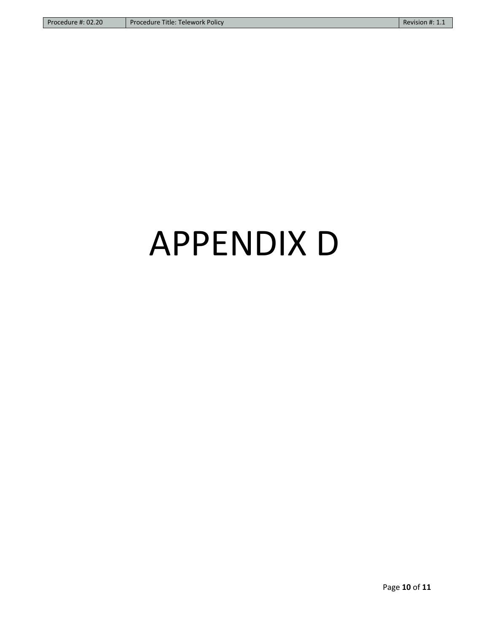# APPENDIX D